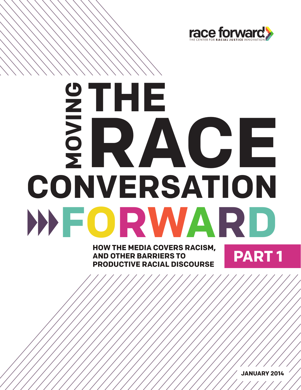

# **MOVING**<br>THEFT<br>THEFT **CONVERSATION FORWARD RACE**

**PART 1** AND OTHER BARRIERS TO **PART 1 AND OTHER BARRIERS TO PRODUCTIVE RACIAL DISCOURSE**

**JANUARY 2014**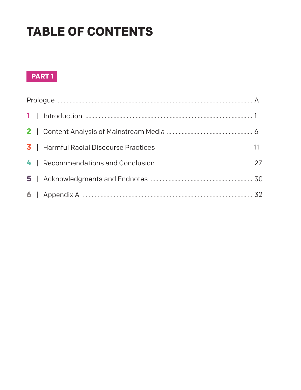# **TABLE OF CONTENTS**

# **PART 1**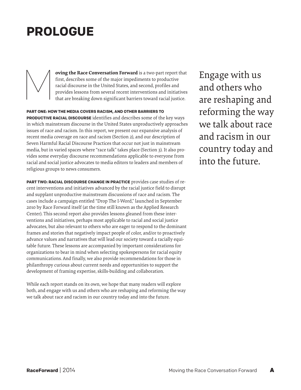# **PROLOGUE**

**oving the Race Conversation Forward** is a two-part report that first, describes some of the major impediments to productive racial discourse in the United States, and second, profiles and provides lessons from several recent interventions and initiatives that are breaking down significant barriers toward racial justice. M

**PART ONE: HOW THE MEDIA COVERS RACISM, AND OTHER BARRIERS TO PRODUCTIVE RACIAL DISCOURSE** identifies and describes some of the key ways in which mainstream discourse in the United States unproductively approaches issues of race and racism. In this report, we present our expansive analysis of recent media coverage on race and racism (Section 2), and our description of Seven Harmful Racial Discourse Practices that occur not just in mainstream media, but in varied spaces where "race talk" takes place (Section 3). It also provides some everyday discourse recommendations applicable to everyone from racial and social justice advocates to media editors to leaders and members of religious groups to news consumers.

**PART TWO: RACIAL DISCOURSE CHANGE IN PRACTICE** provides case studies of recent interventions and initiatives advanced by the racial justice field to disrupt and supplant unproductive mainstream discussions of race and racism. The cases include a campaign entitled "Drop The I-Word," launched in September 2010 by Race Forward itself (at the time still known as the Applied Research Center). This second report also provides lessons gleaned from these interventions and initiatives, perhaps most applicable to racial and social justice advocates, but also relevant to others who are eager to respond to the dominant frames and stories that negatively impact people of color, and/or to proactively advance values and narratives that will lead our society toward a racially equitable future. These lessons are accompanied by important considerations for organizations to bear in mind when selecting spokespersons for racial equity communications. And finally, we also provide recommendations for those in philanthropy curious about current needs and opportunities to support the development of framing expertise, skills-building and collaboration.

While each report stands on its own, we hope that many readers will explore both, and engage with us and others who are reshaping and reforming the way we talk about race and racism in our country today and into the future.

Engage with us and others who are reshaping and reforming the way we talk about race and racism in our country today and into the future.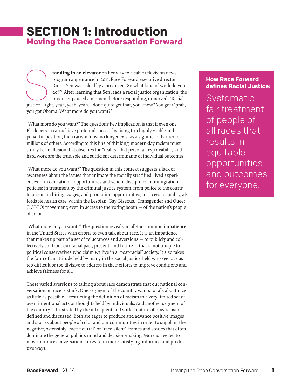# **SECTION 1: Introduction Moving the Race Conversation Forward**

**tanding in an elevator** on her way to a cable television news program appearance in 2011, Race Forward executive director Rinku Sen was asked by a producer, "So what kind of work do you do?"1 After learning that Sen leads a racial justice organization, the producer paused a moment before responding, unnerved: "Racial tanding in an elevator on her way to a cable television news<br>program appearance in 2011, Race Forward executive director<br>Rinku Sen was asked by a producer, "So what kind of work do you<br>do?"<sup>1</sup> After learning that Sen leads you got Obama. What more do you want?"

"What more do you want?" The question's key implication is that if even one Black person can achieve profound success by rising to a highly visible and powerful position, then racism must no longer exist as a significant barrier to millions of others. According to this line of thinking, modern-day racism must surely be an illusion that obscures the "reality" that personal responsibility and hard work are the true, sole and sufficient determinants of individual outcomes.

"What more do you want?" The question in this context suggests a lack of awareness about the issues that animate the racially stratified, lived experiences — in educational opportunities and school discipline; in immigration policies; in treatment by the criminal justice system, from police to the courts to prison; in hiring, wages, and promotion opportunities; in access to quality, affordable health care; within the Lesbian, Gay, Bisexual, Transgender and Queer (LGBTQ) movement; even in access to the voting booth — of the nation's people of color.

"What more do you want?" The question reveals an all-too common impatience in the United States with efforts to even talk about race. It is an impatience that makes up part of a set of reluctances and aversions — to publicly and collectively confront our racial past, present, and future — that is not unique to political conservatives who claim we live in a "post-racial" society. It also takes the form of an attitude held by many in the social justice field who see race as too difficult or too divisive to address in their efforts to improve conditions and achieve fairness for all.

These varied aversions to talking about race demonstrate that our national conversation on race is stuck. One segment of the country wants to talk about race as little as possible – restricting the definition of racism to a very limited set of overt intentional acts or thoughts held by individuals. And another segment of the country is frustrated by the infrequent and stifled nature of how racism is defined and discussed. Both are eager to produce and advance positive images and stories about people of color and our communities in order to supplant the negative, ostensibly "race-neutral" or "race-silent" frames and stories that often dominate the general public's mind and decision-making. More is needed to move our race conversations forward in more satisfying, informed and productive ways.

# **How Race Forward defines Racial Justice:**

Systematic fair treatment of people of all races that results in equitable opportunities and outcomes for everyone.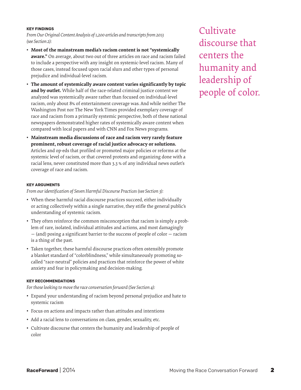# **KEY FINDINGS**

*From Our Original Content Analysis of 1,200 articles and transcripts from 2013 (see Section 2):*

- **• Most of the mainstream media's racism content is not "systemically aware."** On average, about two out of three articles on race and racism failed to include a perspective with any insight on systemic-level racism. Many of those cases, instead focused upon racial slurs and other types of personal prejudice and individual-level racism.
- **• The amount of systemically aware content varies significantly by topic and by outlet.** While half of the race-related criminal justice content we analyzed was systemically aware rather than focused on individual-level racism, only about 8% of entertainment coverage was. And while neither The Washington Post nor The New York Times provided exemplary coverage of race and racism from a primarily systemic perspective, both of these national newspapers demonstrated higher rates of systemically aware content when compared with local papers and with CNN and Fox News programs.
- **• Mainstream media discussions of race and racism very rarely feature prominent, robust coverage of racial justice advocacy or solutions.** Articles and op-eds that profiled or promoted major policies or reforms at the systemic level of racism, or that covered protests and organizing done with a racial lens, never constituted more than 3.3 % of any individual news outlet's coverage of race and racism.

## **KEY ARGUMENTS**

*From our identification of Seven Harmful Discourse Practices (see Section 3):*

- When these harmful racial discourse practices succeed, either individually or acting collectively within a single narrative, they stifle the general public's understanding of systemic racism.
- They often reinforce the common misconception that racism is simply a problem of rare, isolated, individual attitudes and actions, and most damagingly — (and) posing a significant barrier to the success of people of color — racism is a thing of the past.
- Taken together, these harmful discourse practices often ostensibly promote a blanket standard of "colorblindness," while simultaneously promoting socalled "race-neutral" policies and practices that reinforce the power of white anxiety and fear in policymaking and decision-making.

## **KEY RECOMMENDATIONS**

*For those looking to move the race conversation forward (See Section 4):*

- • Expand your understanding of racism beyond personal prejudice and hate to systemic racism
- Focus on actions and impacts rather than attitudes and intentions
- Add a racial lens to conversations on class, gender, sexuality, etc.
- Cultivate discourse that centers the humanity and leadership of people of color

**Cultivate** discourse that centers the humanity and leadership of people of color.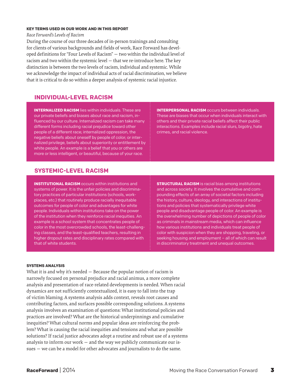#### **KEY TERMS USED IN OUR WORK AND IN THIS REPORT**

*Race Forward's Levels of Racism*

During the course of our three decades of in-person trainings and consulting for clients of various backgrounds and fields of work, Race Forward has developed definitions for "Four Levels of Racism" — two within the individual level of racism and two within the systemic level — that we re-introduce here. The key distinction is between the two levels of racism, individual and systemic. While we acknowledge the impact of individual acts of racial discrimination, we believe that it is critical to do so within a deeper analysis of systemic racial injustice.

# **INDIVIDUAL-LEVEL RACISM**

**INTERNALIZED RACISM** lies within individuals. These are our private beliefs and biases about race and racism, influenced by our culture. Internalized racism can take many different forms including racial prejudice toward other people of a different race; internalized oppression, the negative beliefs about oneself by people of color; or internalized privilege, beliefs about superiority or entitlement by white people. An example is a belief that you or others are more or less intelligent, or beautiful, because of your race.

**INTERPERSONAL RACISM** occurs between individuals. These are biases that occur when individuals interact with others and their private racial beliefs affect their public interactions. Examples include racial slurs, bigotry, hate crimes, and racial violence.

# **SYSTEMIC-LEVEL RACISM**

**INSTITUTIONAL RACISM** occurs within institutions and systems of power. It is the unfair policies and discriminatory practices of particular institutions (schools, workplaces, etc.) that routinely produce racially inequitable outcomes for people of color and advantages for white people. Individuals within institutions take on the power of the institution when they reinforce racial inequities. An example is a school system that concentrates people of color in the most overcrowded schools, the least-challenging classes, and the least-qualified teachers, resulting in higher dropout rates and disciplinary rates compared with that of white students.

**STRUCTURAL RACISM** is racial bias among institutions and across society. It involves the cumulative and compounding effects of an array of societal factors including the history, culture, ideology, and interactions of institutions and policies that systematically privilege white people and disadvantage people of color. An example is the overwhelming number of depictions of people of color as criminals in mainstream media, which can influence how various institutions and individuals treat people of color with suspicion when they are shopping, traveling, or seeking housing and employment – all of which can result in discriminatory treatment and unequal outcomes.

# **SYSTEMS ANALYSIS**

What it is and why it's needed — Because the popular notion of racism is narrowly focused on personal prejudice and racial animus, a more complete analysis and presentation of race-related developments is needed. When racial dynamics are not sufficiently contextualized, it is easy to fall into the trap of victim blaming. A systems analysis adds context, reveals root causes and contributing factors, and surfaces possible corresponding solutions. A systems analysis involves an examination of questions: What institutional policies and practices are involved? What are the historical underpinnings and cumulative inequities? What cultural norms and popular ideas are reinforcing the problem? What is causing the racial inequities and tensions and what are possible solutions? If racial justice advocates adopt a routine and robust use of a systems analysis to inform our work — and the way we publicly communicate our issues — we can be a model for other advocates and journalists to do the same.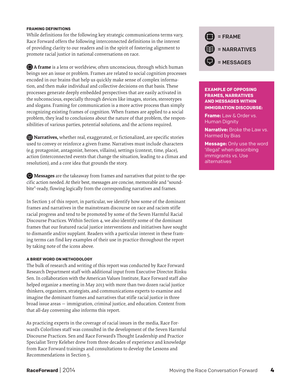## **FRAMING DEFINITIONS**

While definitions for the following key strategic communications terms vary, Race Forward offers the following interconnected definitions in the interest of providing clarity to our readers and in the spirit of fostering alignment to promote racial justice in national conversations on race.

**A frame** is a lens or worldview, often unconscious, through which human beings see an issue or problem. Frames are related to social cognition processes encoded in our brains that help us quickly make sense of complex information, and then make individual and collective decisions on that basis. These processes generate deeply embedded perspectives that are easily activated in the subconscious, especially through devices like images, stories, stereotypes and slogans. Framing for communication is a more active process than simply recognizing existing frames of cognition. When frames are applied to a social problem, they lead to conclusions about the nature of that problem, the responsibilities of various parties, potential solutions, and the actions required.

**I** Narratives, whether real, exaggerated, or fictionalized, are specific stories used to convey or reinforce a given frame. Narratives must include characters (e.g. protagonist, antagonist, heroes, villains), settings (context, time, place), action (interconnected events that change the situation, leading to a climax and resolution), and a core idea that grounds the story.

**Messages** are the takeaway from frames and narratives that point to the specific action needed. At their best, messages are concise, memorable and "soundbite"-ready, flowing logically from the corresponding narratives and frames.

In Section 3 of this report, in particular, we identify how some of the dominant frames and narratives in the mainstream discourse on race and racism stifle racial progress and tend to be promoted by some of the Seven Harmful Racial Discourse Practices. Within Section 4, we also identify some of the dominant frames that our featured racial justice interventions and initiatives have sought to dismantle and/or supplant. Readers with a particular interest in these framing terms can find key examples of their use in practice throughout the report by taking note of the icons above.

## **A BRIEF WORD ON METHODOLOGY**

The bulk of research and writing of this report was conducted by Race Forward Research Department staff with additional input from Executive Director Rinku Sen. In collaboration with the American Values Institute, Race Forward staff also helped organize a meeting in May 2013 with more than two dozen racial justice thinkers, organizers, strategists, and communications experts to examine and imagine the dominant frames and narratives that stifle racial justice in three broad issue areas — immigration, criminal justice, and education. Content from that all-day convening also informs this report.

As practicing experts in the coverage of racial issues in the media, Race Forward's Colorlines staff was consulted in the development of the Seven Harmful Discourse Practices. Sen and Race Forward's Thought Leadership and Practice Specialist Terry Keleher drew from three decades of experience and knowledge from Race Forward trainings and consultations to develop the Lessons and Recommendations in Section 5.



# **EXAMPLE OF OPPOSING FRAMES, NARRATIVES AND MESSAGES WITHIN IMMIGRATION DISCOURSE:**

**Frame:** Law & Order vs. Human Dignity

**Narrative:** Broke the Law vs. Harmed by Bias

**Message:** Only use the word 'illegal' when describing immigrants vs. Use alternatives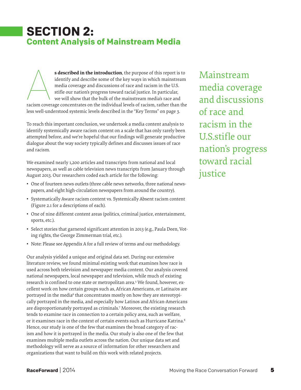# **SECTION 2: Content Analysis of Mainstream Media**

**s described in the introduction**, the purpose of this report is to identify and describe some of the key ways in which mainstream media coverage and discussions of race and racism in the U.S. stifle our nation's progress toward racial justice. In particular, we will show that the bulk of the mainstream media's race and s described in the introduction, the purpose of this report is to identify and describe some of the key ways in which mainstream media coverage and discussions of race and racism in the U.S. stifle our nation's progress to less well-understood systemic levels described in the "Key Terms" on page 3.

To reach this important conclusion, we undertook a media content analysis to identify systemically aware racism content on a scale that has only rarely been attempted before, and we're hopeful that our findings will generate productive dialogue about the way society typically defines and discusses issues of race and racism.

We examined nearly 1,200 articles and transcripts from national and local newspapers, as well as cable television news transcripts from January through August 2013. Our researchers coded each article for the following:

- One of fourteen news outlets (three cable news networks, three national newspapers, and eight high-circulation newspapers from around the country).
- • Systematically Aware racism content vs. Systemically Absent racism content (Figure 2.1 for a descriptions of each).
- • One of nine different content areas (politics, criminal justice, entertainment, sports, etc.).
- Select stories that garnered significant attention in 2013 (e.g., Paula Deen, Voting rights, the George Zimmerman trial, etc.).
- Note: Please see Appendix A for a full review of terms and our methodology.

Our analysis yielded a unique and original data set. During our extensive literature review, we found minimal existing work that examines how race is used across both television and newspaper media content. Our analysis covered national newspapers, local newspaper and television, while much of existing research is confined to one state or metropolitan area.5 We found, however, excellent work on how certain groups such as, African Americans, or Latina/os are portrayed in the media<sup>6</sup> that concentrates mostly on how they are stereotypically portrayed in the media, and especially how Latinos and African-Americans are disproportionately portrayed as criminals.7 Moreover, the existing research tends to examine race in connection to a certain policy area, such as welfare, or it examines race in the context of certain events such as Hurricane Katrina.<sup>8</sup> Hence, our study is one of the few that examines the broad category of racism and how it is portrayed in the media. Our study is also one of the few that examines multiple media outlets across the nation. Our unique data set and methodology will serve as a source of information for other researchers and organizations that want to build on this work with related projects.

Mainstream media coverage and discussions of race and racism in the U.S.stifle our nation's progress toward racial justice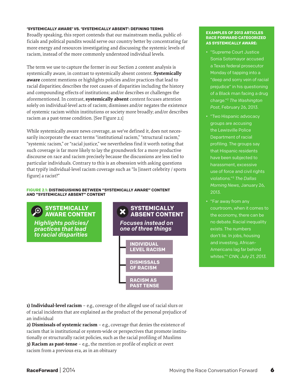## **'SYSTEMICALLY AWARE' VS. 'SYSTEMICALLY ABSENT': DEFINING TERMS**

Broadly speaking, this report contends that our mainstream media, public officials and political pundits would serve our country better by concentrating far more energy and resources investigating and discussing the systemic levels of racism, instead of the more commonly understood individual levels.

The term we use to capture the former in our Section 2 content analysis is systemically aware, in contrast to systemically absent content. **Systemically aware** content mentions or highlights policies and/or practices that lead to racial disparities; describes the root causes of disparities including the history and compounding effects of institutions; and/or describes or challenges the aforementioned. In contrast, **systemically absent** content focuses attention solely on individual-level acts of racism; dismisses and/or negates the existence of systemic racism within institutions or society more broadly; and/or describes racism as a past-tense condition. [See Figure 2.1]

While systemically aware news coverage, as we've defined it, does not necessarily incorporate the exact terms "institutional racism," "structural racism," "systemic racism," or "racial justice," we nevertheless find it worth noting that such coverage is far more likely to lay the groundwork for a more productive discourse on race and racism precisely because the discussions are less tied to particular individuals. Contrary to this is an obsession with asking questions that typify individual-level racism coverage such as "Is [insert celebrity / sports figure] a racist?"

#### **FIGURE 2.1: DISTINGUISHING BETWEEN "SYSTEMICALLY AWARE" CONTENT AND "SYSTEMICALLY ABSENT" CONTENT**



**1) Individual-level racism** – e.g., coverage of the alleged use of racial slurs or of racial incidents that are explained as the product of the personal prejudice of an individual

**2) Dismissals of systemic racism** – e.g., coverage that denies the existence of racism that is institutional or system-wide or perspectives that promote institutionally or structurally racist policies, such as the racial profiling of Muslims **3) Racism as past-tense** – e.g., the mention or profile of explicit or overt racism from a previous era, as in an obituary

## **EXAMPLES OF 2013 ARTICLES RACE FORWARD CATEGORIZED AS SYSTEMICALLY AWARE:**

- "Supreme Court Justice Sonia Sotomayor accused a Texas federal prosecutor Monday of tapping into a "deep and sorry vein of racial prejudice" in his questioning of a Black man facing a drug charge."2 *The Washington Post*, February 26, 2013.
- • "Two Hispanic advocacy groups are accusing the Lewisville Police Department of racial profiling. The groups say that Hispanic residents have been subjected to harassment, excessive use of force and civil rights violations."3 *The Dallas Morning News*, January 26, 2013.
- • "Far away from any courtroom, when it comes to the economy, there can be no debate. Racial inequality exists. The numbers don't lie. In jobs, housing and investing, African-Americans lag far behind whites."4 *CNN, July 21, 2013.*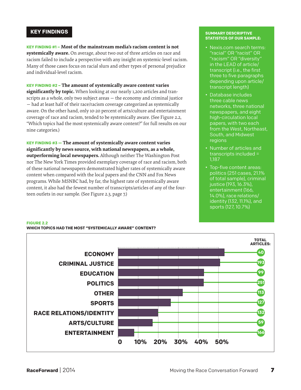# **KEY FINDINGS**

**KEY FINDING #1 – Most of the mainstream media's racism content is not systemically aware.** On average, about two out of three articles on race and racism failed to include a perspective with any insight on systemic-level racism. Many of those cases focus on racial slurs and other types of personal prejudice and individual-level racism.

# **KEY FINDING #2 – The amount of systemically aware content varies**

**significantly by topic.** When looking at our nearly 1,200 articles and transcripts as a whole, only two subject areas — the economy and criminal justice — had at least half of their race/racism coverage categorized as systemically aware. On the other hand, only 10-20 percent of arts/culture and entertainment coverage of race and racism, tended to be systemically aware. (See Figure 2.2, "Which topics had the most systemically aware content?" for full results on our nine categories.)

**KEY FINDING #3 — The amount of systemically aware content varies significantly by news source, with national newspapers, as a whole, outperforming local newspapers.** Although neither The Washington Post nor The New York Times provided exemplary coverage of race and racism, both of these national newspapers demonstrated higher rates of systemically aware content when compared with the local papers and the CNN and Fox News programs. While MSNBC had, by far, the highest rate of systemically aware content, it also had the fewest number of transcripts/articles of any of the fourteen outlets in our sample. (See Figure 2.3, page 7.)

### **SUMMARY DESCRIPTIVE STATISTICS OF OUR SAMPLE:**

- Nexis.com search terms: "racial" OR "racist" OR "racism" OR "diversity" in the LEAD of article/ transcript (i.e., the first three to five paragraphs depending upon article/ transcript length)
- Database includes three cable news networks, three national newspapers, and eight high-circulation local papers, with two each from the West, Northeast, South, and Midwest regions
- • Number of articles and transcripts included = 1,187
- Top-five content areas: politics (251 cases, 21.1% of total sample), criminal justice (193, 16.3%), entertainment (166, 14.0%), race relations/ identity (132, 11.1%), and sports (127, 10.7%)



# **WHICH TOPICS HAD THE MOST "SYSTEMICALLY AWARE" CONTENT?**

**FIGURE 2.2**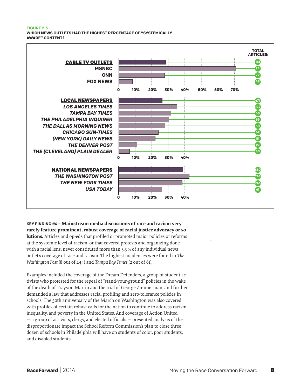#### **FIGURE 2.3 WHICH NEWS OUTLETS HAD THE HIGHEST PERCENTAGE OF "SYSTEMICALLY AWARE" CONTENT?**



**KEY FINDING #4 – Mainstream media discussions of race and racism very rarely feature prominent, robust coverage of racial justice advocacy or solutions.** Articles and op-eds that profiled or promoted major policies or reforms at the systemic level of racism, or that covered protests and organizing done with a racial lens, never constituted more than 3.3 % of any individual news outlet's coverage of race and racism. The highest incidences were found in *The Washington Post* (8 out of 244) and *Tampa Bay Times* (2 out of 61).

Examples included the coverage of the Dream Defenders, a group of student activists who protested for the repeal of "stand-your-ground" policies in the wake of the death of Trayvon Martin and the trial of George Zimmerman, and further demanded a law that addresses racial profiling and zero-tolerance policies in schools. The 50th anniversary of the March on Washington was also covered with profiles of certain robust calls for the nation to continue to address racism, inequality, and poverty in the United States. And coverage of Action United — a group of activists, clergy, and elected officials — presented analysis of the disproportionate impact the School Reform Commission's plan to close three dozen of schools in Philadelphia will have on students of color, poor students, and disabled students.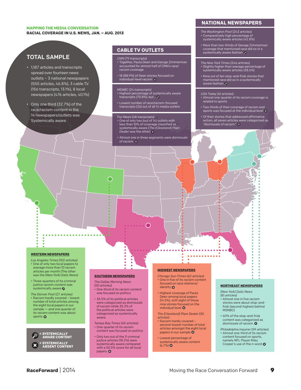#### **MAPPING THE MEDIA CONVERSATION RACIAL COVERAGE IN U.S. NEWS, JAN. – AUG. 2013**

# TOTAL SAMPLE

- • 1,187 articles and transcripts spread over fourteen news outlets – 3 national newspapers (555 articles, 46.8%), 3 cable T.V. (156 transcripts, 13.1%), 8 local newspapers (476 articles, 40.1%)
- Only one third (32.7%) of the race/racism content in the 14 newspapers/outlets was Systemically aware

# **CABLE TV OUTLETS**

- *CNN* (79 transcripts) • Together, Paula Deen and George Zimmerman accounted for almost half of CNN's race/ racism coverage
- 18 (88.9%) of Deen stories focused on<br>individual-level racism

#### *MSNBC* (24 transcripts)

- Highest percentage of systemically aware<br>transcripts (70.8%), but… ❷
- • Lowest number of race/racism-focused transcripts (26) out of all 14 media outlets

#### *Fox News* (48 transcripts) • One of only two (out of 14) outlets with

less than 10% of coverage classified as systemically aware (*The (Cleveland) Plain Dealer* was the other)

◯

• Almost one in three segments were *dismissals of racism.* 

# **NATIONAL NEWSPAPERS**

- *The Washington Post* (243 articles) • Comparatively high percentage of systemically aware articles (42.8%)
- • More than two-thirds of George Zimmerman coverage that mentioned race did so in a systemically aware fashion
- *The New York Times* (246 articles) • Slightly higher than average percentage of systemically aware articles (38.6%)
- Nine out of ten stop-and-frisk stories that<br>mentioned race did so in a systemically<br>aware fashion ይ

#### *USA Today* (61 articles)

- Almost one-quarter of its racism coverage is related to sports
- • Two-thirds of their coverage of racism and sports was focused at the individual level
- • Of their stories that addressed affirmative action, all seven articles were categorized as "dismissals of racism."

#### **WESTERN NEWSPAPERS**

- *Los Angeles Times* (102 articles) • One of only two local papers to average more than 10 racism articles per month (The other was the (*New York) Daily News*)
- Three-quarters of its criminal justice racism content was systemically aware
- *The Denver Post* (27 articles) • Racism hardly covered – lowest number of total articles among the eight local papers in our sample — and one quarter of its racism content was about sports **Q**

**= SYSTEMICALLY AWARE CONTENT = SYSTEMICALLY ABSENT CONTENT**

#### **SOUTHERN NEWSPAPERS**

- 
- *The Dallas Morning News* (50 articles)

◯

- • One-third of its racism content was focused on politics
- • 35.5% of its political articles were categorized as dismissals of racism while 35.3% of the political articles were categorized as systemically aware.
- *Tampa Bay Times* (60 articles) • One-quarter of its racism content was focused on politics
- • Only two out of the 11 criminal justice articles (18.2%) were systemically aware compared with a 50.5% score for all local papers.<sup>O</sup>

#### **MIDWEST NEWSPAPERS**

- *Chicago Sun-Times* (62 articles) • One in five of its racism content focused on race relations/ identity<sup>O</sup>
- • Highest coverage of Paula Deen among local papers (14.5%), with eight of those nine stories focused on the individual level <sup>8</sup>
- *The (Cleveland) Plain Dealer* (30 articles)
- Racism hardly covered second-lowest number of total articles amongst the eight local papers in our sample  $\odot$
- • Lowest percentage of systemically aware content  $(6.7%)$

#### **NORTHEAST NEWSPAPERS**

*(New York) Daily News* (81 articles)

÷ -2

- • Almost one in five racism stories were about stop-andfrisk (second-highest behind MSNBC)
- • 60% of the stop-and-frisk content was categorized as dismissals of racism. <sup>3</sup>
- *Philadelphia Inquirer* (59 articles) • Almost one-third of its racism content focused on sports,
- namely NFL Player Riley Cooper's use of the n-word  $\bullet$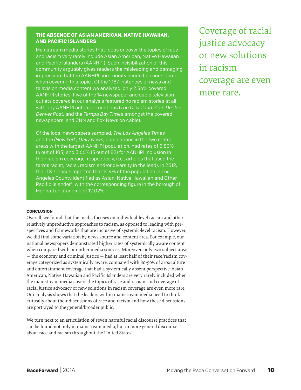# **THE ABSENCE OF ASIAN AMERICAN, NATIVE HAWAIIAN, AND PACIFIC ISLANDERS**

Mainstream media stories that focus or cover the topics of race and racism very rarely include Asian American, Native Hawaiian and Pacific Islanders (AANHPI). Such invisibilization of this community arguably gives readers the misleading and damaging impression that the AANHPI community needn't be considered when covering this topic . Of the 1,187 instances of news and television media content we analyzed, only 2.36% covered AANHPI stories. Five of the 14 newspaper and cable television outlets covered in our analysis featured no racism stories at all with any AANHPI actors or mentions (*The Cleveland Plain Dealer, Denver Post,* and the *Tampa Bay Times* amongst the covered newspapers, and CNN and Fox News on cable).

Of the local newspapers sampled, *The Los Angeles Times* and the *(New York) Daily News*, publications in the two metro areas with the largest AANHPI population, had rates of 5.83% (6 out of 103) and 3.66% (3 out of 82) for AANHPI inclusion in their racism coverage, respectively, (i.e., articles that used the terms racist, racial, racism and/or diversity in the lead). In 2012, the U.S. Census reported that 14.9% of the population in Los Angeles County identified as Asian, Native Hawaiian and Other Pacific Islander<sup>9</sup>, with the corresponding figure in the borough of Manhattan standing at 12.02%.<sup>10</sup>

# **CONCLUSION**

Overall, we found that the media focuses on individual-level racism and other relatively unproductive approaches to racism, as opposed to leading with perspectives and frameworks that are inclusive of systemic-level racism. However, we did find some variation by news source and content area. For example, our national newspapers demonstrated higher rates of systemically aware content when compared with our other media sources. Moreover, only two subject areas — the economy and criminal justice — had at least half of their race/racism coverage categorized as systemically aware, compared with 80-90% of arts/culture and entertainment coverage that had a systemically absent perspective. Asian American, Native Hawaiian and Pacific Islanders are very rarely included when the mainstream media covers the topics of race and racism, and coverage of racial justice advocacy or new solutions in racism coverage are even more rare. Our analysis shows that the leaders within mainstream media need to think critically about their discussions of race and racism and how these discussions are portrayed to the general/broader public.

We turn next to an articulation of seven harmful racial discourse practices that can be found not only in mainstream media, but in more general discourse about race and racism throughout the United States.

Coverage of racial justice advocacy or new solutions in racism coverage are even more rare.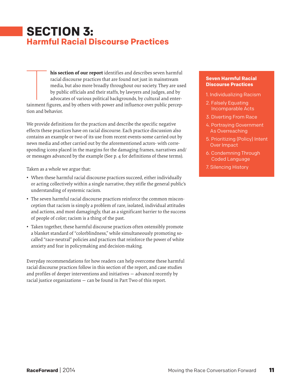# **SECTION 3: Harmful Racial Discourse Practices**

**his section of our report** identifies and describes seven harmful racial discourse practices that are found not just in mainstream media, but also more broadly throughout our society. They are used by public officials and their staffs, by lawyers and judges, and by advocates of various political backgrounds, by cultural and enterhis section of our report identifies and describes seven harmful racial discourse practices that are found not just in mainstream media, but also more broadly throughout our society. They are use by public officials and th tion and behavior.

We provide definitions for the practices and describe the specific negative effects these practices have on racial discourse. Each practice discussion also contains an example or two of its use from recent events-some carried out by news media and other carried out by the aforementioned actors- with corresponding icons placed in the margins for the damaging frames, narratives and/ or messages advanced by the example (See p. 4 for definitions of these terms).

Taken as a whole we argue that:

- When these harmful racial discourse practices succeed, either individually or acting collectively within a single narrative, they stifle the general public's understanding of systemic racism.
- The seven harmful racial discourse practices reinforce the common misconception that racism is simply a problem of rare, isolated, individual attitudes and actions, and most damagingly, that as a significant barrier to the success of people of color; racism is a thing of the past.
- Taken together, these harmful discourse practices often ostensibly promote a blanket standard of "colorblindness," while simultaneously promoting socalled "race-neutral" policies and practices that reinforce the power of white anxiety and fear in policymaking and decision-making.

Everyday recommendations for how readers can help overcome these harmful racial discourse practices follow in this section of the report, and case studies and profiles of deeper interventions and initiatives — advanced recently by racial justice organizations — can be found in Part Two of this report.

# **Seven Harmful Racial Discourse Practices**

- 1. Individualizing Racism
- 2. Falsely Equating Incomparable Acts
- 3. Diverting From Race
- 4. Portraying Government As Overreaching
- 5. Prioritizing (Policy) Intent Over Impact
- 6. Condemning Through Coded Language
- 7. Silencing History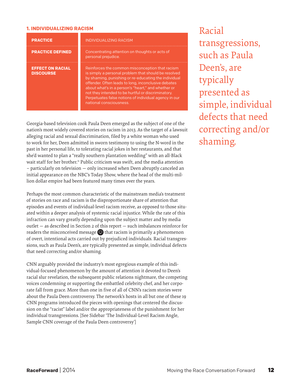# **1. INDIVIDUALIZING RACISM**

| <b>PRACTICE</b>                             | <b>INDIVIDUALIZING RACISM</b>                                                                                                                                                                                                                                                                                                                                                                                          |  |
|---------------------------------------------|------------------------------------------------------------------------------------------------------------------------------------------------------------------------------------------------------------------------------------------------------------------------------------------------------------------------------------------------------------------------------------------------------------------------|--|
| <b>PRACTICE DEFINED</b>                     | Concentrating attention on thoughts or acts of<br>personal prejudice.                                                                                                                                                                                                                                                                                                                                                  |  |
| <b>EFFECT ON RACIAL</b><br><b>DISCOURSE</b> | Reinforces the common misconception that racism<br>is simply a personal problem that should be resolved<br>by shaming, punishing or re-educating the individual<br>offender. Often leads to long, inconclusive debates<br>about what's in a person's "heart," and whether or<br>not they intended to be hurtful or discriminatory.<br>Perpetuates false notions of individual agency in our<br>national consciousness. |  |

Georgia-based television cook Paula Deen emerged as the subject of one of the nation's most widely covered stories on racism in 2013. As the target of a lawsuit alleging racial and sexual discrimination, filed by a white woman who used to work for her, Deen admitted in sworn testimony to using the N-word in the past in her personal life, to tolerating racial jokes in her restaurants, and that she'd wanted to plan a "really southern plantation wedding" with an all-Black wait staff for her brother.<sup>11</sup> Public criticism was swift, and the media attention – particularly on television — only increased when Deen abruptly canceled an initial appearance on the NBC's Today Show, where the head of the multi-million dollar empire had been featured many times over the years.

Perhaps the most common characteristic of the mainstream media's treatment of stories on race and racism is the disproportionate share of attention that episodes and events of individual-level racism receive, as opposed to those situated within a deeper analysis of systemic racial injustice. While the rate of this infraction can vary greatly depending upon the subject matter and by media outlet — as described in Section 2 of this report — such imbalances reinforce for readers the misconceived message  $\bigtriangledown$  that racism is primarily a phenomenon of overt, intentional acts carried out by prejudiced individuals. Racial transgressions, such as Paula Deen's, are typically presented as simple, individual defects that need correcting and/or shaming.

CNN arguably provided the industry's most egregious example of this individual-focused phenomenon by the amount of attention it devoted to Deen's racial slur revelation, the subsequent public relations nightmare, the competing voices condemning or supporting the embattled celebrity chef, and her corporate fall from grace. More than one in five of all of CNN's racism stories were about the Paula Deen controversy. The network's hosts in all but one of these 19 CNN programs introduced the pieces with openings that centered the discussion on the "racist" label and/or the appropriateness of the punishment for her individual transgressions. [See Sidebar 'The Individual-Level Racism Angle, Sample CNN coverage of the Paula Deen controversy']

Racial transgressions, such as Paula Deen's, are **typically** presented as simple, individual defects that need correcting and/or shaming.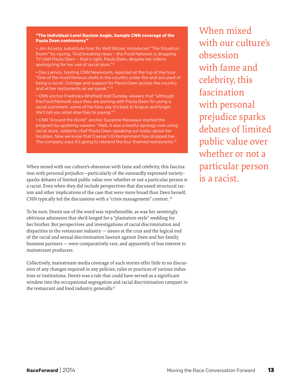# **"The Individual-Level Racism Angle, Sample CNN coverage of the Paula Deen controversy"**

• Jim Acosta, substitute host for Wolf Blitzer, introduced "The Situation Room" by saying, "And breaking news – the Food Network is dropping TV chef Paula Deen – that's right, Paula Deen, despite her videos apologizing for her use of racial slurs."12

• Don Lemon, hosting CNN Newsroom, reported at the top of the hour: "One of the most famous chefs in the country under fire and accused of being a racist. Outrage and support for Paula Deen across the country and at her restaurants as we speak."<sup>13</sup>

• CNN anchor Fredricka Whitfield told Sunday viewers that "although the Food Network says they are parting with Paula Deen for using a racial comment, some of her fans say it's best to forgive and forget. We'll tell you what else they're saying."14

• CNN "Around the World" anchor Suzanne Malveaux started the program by updating viewers: "Well, it was a tearful apology over using racial slurs, celebrity chef Paula Deen speaking out today about her troubles. Now we know that Caesar's Entertainment has dropped her. The company says it's going to rebrand the four themed restaurants.<sup>15</sup>

When mixed with our culture's obsession with fame and celebrity, this fascination with personal prejudice—particularly of the outwardly expressed variety– sparks debates of limited public value over whether or not a particular person is a racist. Even when they did include perspectives that discussed structural racism and other implications of the case that were more broad than Deen herself, CNN typically led the discussions with a "crisis management" context. 16

To be sure, Deen's use of the word was reprehensible, as was her seemingly oblivious admission that she'd longed for a "plantation-style" wedding for her brother. But perspectives and investigations of racial discrimination and disparities in the restaurant industry — issues at the crux and the logical end of the racial and sexual discrimination lawsuit against Deen and her family business partners — were comparatively rare, and apparently of less interest to mainstream producers.

Collectively, mainstream media coverage of such stories offer little to no discussion of any changes required in any policies, rules or practices of various industries or institutions. Deen's was a tale that could have served as a significant window into the occupational segregation and racial discrimination rampant in the restaurant and food industry generally.<sup>17</sup>

When mixed with our culture's obsession with fame and celebrity, this fascination with personal prejudice sparks debates of limited public value over whether or not a particular person is a racist.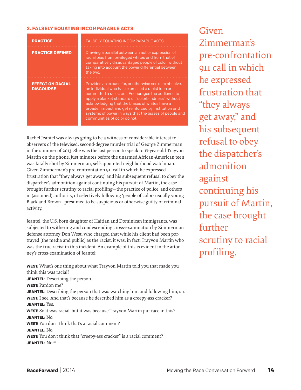# **2. FALSELY EQUATING INCOMPARABLE ACTS**

| <b>PRACTICE</b>                             | <b>FALSELY EQUATING INCOMPARABLE ACTS</b>                                                                                                                                                                                                                                                                                                                                                                                    |
|---------------------------------------------|------------------------------------------------------------------------------------------------------------------------------------------------------------------------------------------------------------------------------------------------------------------------------------------------------------------------------------------------------------------------------------------------------------------------------|
| <b>PRACTICE DEFINED</b>                     | Drawing a parallel between an act or expression of<br>racial bias from privileged whites and from that of<br>comparatively disadvantaged people of color, without<br>taking into account the power differential between<br>the two.                                                                                                                                                                                          |
| <b>EFFECT ON RACIAL</b><br><b>DISCOURSE</b> | Provides an excuse for, or otherwise seeks to absolve,<br>an individual who has expressed a racist idea or<br>committed a racist act. Encourages the audience to<br>apply a blanket standard of "colorblindness" without<br>acknowledging that the biases of whites have a<br>broader impact and get reinforced by institution and<br>systems of power in ways that the biases of people and<br>communities of color do not. |

Rachel Jeantel was always going to be a witness of considerable interest to observers of the televised, second-degree murder trial of George Zimmerman in the summer of 2013. She was the last person to speak to 17-year-old Trayvon Martin on the phone, just minutes before the unarmed African-American teen was fatally shot by Zimmerman, self-appointed neighborhood watchman. Given Zimmerman's pre-confrontation 911 call in which he expressed frustration that "they always get away," and his subsequent refusal to obey the dispatcher's admonition against continuing his pursuit of Martin, the case brought further scrutiny to racial profiling—the practice of police, and others in (assumed) authority, of selectively following 'people of color- usually young Black and Brown - presumed to be suspicious or otherwise guilty of criminal activity.

Jeantel, the U.S. born daughter of Haitian and Dominican immigrants, was subjected to withering and condescending cross-examination by Zimmerman defense attorney Don West, who charged that while his client had been portrayed [the media and public] as the racist, it was, in fact, Trayvon Martin who was the true racist in this incident. An example of this is evident in the attorney's cross-examination of Jeantel:

**WEST:** What's one thing about what Trayvon Martin told you that made you think this was racial? **JEANTEL**: Describing the person. **WEST:** Pardon me? **JEANTEL:** Describing the person that was watching him and following him, sir. **WEST:** I see. And that's because he described him as a creepy-ass cracker? **JEANTEL:** Yes. **WEST:** So it was racial, but it was because Trayvon Martin put race in this? **JEANTEL:** No. **WEST:** You don't think that's a racial comment? **JEANTEL:** No. **WEST:** You don't think that "creepy-ass cracker" is a racial comment? **JEANTEL:**  $No.18$ 

Given Zimmerman's pre-confrontation 911 call in which he expressed frustration that "they always get away," and his subsequent refusal to obey the dispatcher's admonition against continuing his pursuit of Martin, the case brought further scrutiny to racial profiling.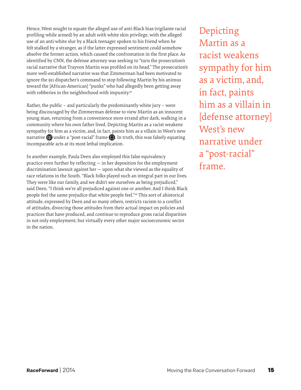Hence, West sought to equate the alleged use of anti-Black bias (vigilante racial profiling while armed) by an adult with white skin privilege, with the alleged use of an anti-white slur by a Black teenager spoken to his friend when he felt stalked by a stranger, as if the latter expressed sentiment could somehow absolve the former action, which caused the confrontation in the first place. As identified by CNN, the defense attorney was seeking to "turn the prosecution's racial narrative that Trayvon Martin was profiled on its head." The prosecution's more well-established narrative was that Zimmerman had been motivated to ignore the 911 dispatcher's command to stop following Martin by his animus toward the [African-American] "punks" who had allegedly been getting away with robberies in the neighborhood with impunity.<sup>19</sup>

Rather, the public – and particularly the predominantly white jury – were being discouraged by the Zimmerman defense to view Martin as an innocent young man, returning from a convenience store errand after dark, walking in a community where his own father lived. Depicting Martin as a racist weakens sympathy for him as a victim, and, in fact, paints him as a villain in West's new narrative  $\blacksquare$  under a "post-racial" frame  $\blacksquare$ . In truth, this was falsely equating incomparable acts at its most lethal implication.

In another example, Paula Deen also employed this false equivalency practice even further by reflecting — in her deposition for the employment discrimination lawsuit against her — upon what she viewed as the equality of race relations in the South. "Black folks played such an integral part in our lives. They were like our family, and we didn't see ourselves as being prejudiced," said Deen. "I think we're all prejudiced against one or another. And I think Black people feel the same prejudice that white people feel."<sup>20</sup> This sort of ahistorical attitude, expressed by Deen and so many others, restricts racism to a conflict of attitudes, divorcing those attitudes from their actual impact on policies and practices that have produced, and continue to reproduce gross racial disparities in not only employment, but virtually every other major socioeconomic sector in the nation.

Depicting Martin as a racist weakens sympathy for him as a victim, and, in fact, paints him as a villain in [defense attorney] West's new narrative under a "post-racial" frame.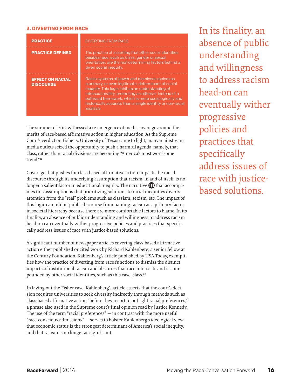# **3. DIVERTING FROM RACE**

| <b>PRACTICE</b>                             | <b>DIVERTING FROM RACE</b>                                                                                                                                                                                                                                                                                                                               |
|---------------------------------------------|----------------------------------------------------------------------------------------------------------------------------------------------------------------------------------------------------------------------------------------------------------------------------------------------------------------------------------------------------------|
| <b>PRACTICE DEFINED</b>                     | The practice of asserting that other social identities<br>besides race, such as class, gender or sexual<br>orientation, are the real determining factors behind a<br>given social inequity.                                                                                                                                                              |
| <b>EFFECT ON RACIAL</b><br><b>DISCOURSE</b> | Ranks systems of power and dismisses racism as<br>a primary, or even legitimate, determinant of social<br>inequity. This logic inhibits an understanding of<br>intersectionality, promoting an either/or instead of a<br>both/and framework, which is more sociologically and<br>historically accurate than a single identity or non-racial<br>analysis. |

The summer of 2013 witnessed a re-emergence of media coverage around the merits of race-based affirmative action in higher education. As the Supreme Court's verdict on Fisher v. University of Texas came to light, many mainstream media outlets seized the opportunity to push a harmful agenda, namely, that class, rather than racial divisions are becoming "America's most worrisome trend."<sup>21</sup>

Coverage that pushes for class-based affirmative action impacts the racial discourse through its underlying assumption that racism, in and of itself, is no longer a salient factor in educational inequity. The narrative  $\blacksquare$  that accompanies this assumption is that prioritizing solutions to racial inequities diverts attention from the "real" problems such as classism, sexism, etc. The impact of this logic can inhibit public discourse from naming racism as a primary factor in societal hierarchy because there are more comfortable factors to blame. In its finality, an absence of public understanding and willingness to address racism head-on can eventually wither progressive policies and practices that specifically address issues of race with justice-based solutions.

A significant number of newspaper articles covering class-based affirmative action either published or cited work by Richard Kahlenberg, a senior fellow at the Century Foundation. Kahlenberg's article published by USA Today, exemplifies how the practice of diverting from race functions to dismiss the distinct impacts of institutional racism and obscures that race intersects and is compounded by other social identities, such as this case, class.<sup>22</sup>

In laying out the Fisher case, Kahlenberg's article asserts that the court's decision requires universities to seek diversity indirectly through methods such as class-based affirmative action "before they resort to outright racial preferences," a phrase also used in the Supreme court's final opinion read by Justice Kennedy. The use of the term "racial preferences" — in contrast with the more useful, "race-conscious admissions" — serves to bolster Kahlenberg's ideological view that economic status is the strongest determinant of America's social inequity, and that racism is no longer as significant.

In its finality, an absence of public understanding and willingness to address racism head-on can eventually wither progressive policies and practices that specifically address issues of race with justicebased solutions.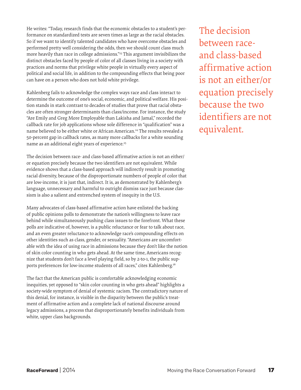He writes: "Today, research finds that the economic obstacles to a student's performance on standardized tests are seven times as large as the racial obstacles. So if we want to identify talented candidates who have overcome obstacles and performed pretty well considering the odds, then we should count class much more heavily than race in college admissions."23 This argument invisibilizes the distinct obstacles faced by people of color of all classes living in a society with practices and norms that privilege white people in virtually every aspect of political and social life, in addition to the compounding effects that being poor can have on a person who does not hold white privilege.

Kahlenberg fails to acknowledge the complex ways race and class interact to determine the outcome of one's social, economic, and political welfare. His position stands in stark contrast to decades of studies that prove that racial obstacles are often stronger determinants than class/income. For instance, the study "Are Emily and Greg More Employable than Lakisha and Jamal," recorded the callback rate for job applications whose sole difference in "qualification" was a name believed to be either white or African American.<sup>24</sup> The results revealed a 50-percent gap in callback rates, as many more callbacks for a white sounding name as an additional eight years of experience.<sup>25</sup>

The decision between race- and class-based affirmative action is not an either/ or equation precisely because the two identifiers are not equivalent. While evidence shows that a class-based approach will indirectly result in promoting racial diversity, because of the disproportionate numbers of people of color that are low-income, it is just that, indirect. It is, as demonstrated by Kahlenberg's language, unnecessary and harmful to outright dismiss race just because classism is also a salient and entrenched system of inequity in the U.S.

Many advocates of class-based affirmative action have enlisted the backing of public opinions polls to demonstrate the nation's willingness to leave race behind while simultaneously pushing class issues to the forefront. What these polls are indicative of, however, is a public reluctance or fear to talk about race, and an even greater reluctance to acknowledge race's compounding effects on other identities such as class, gender, or sexuality. "Americans are uncomfortable with the idea of using race in admissions because they don't like the notion of skin color counting in who gets ahead. At the same time, Americans recognize that students don't face a level playing field, so by 2-to-1, the public supports preferences for low-income students of all races," cites Kahlenberg.<sup>26</sup>

The fact that the American public is comfortable acknowledging economic inequities, yet opposed to "skin color counting in who gets ahead" highlights a society-wide symptom of denial of systemic racism. The contradictory nature of this denial, for instance, is visible in the disparity between the public's treatment of affirmative action and a complete lack of national discourse around legacy admissions, a process that disproportionately benefits individuals from white, upper class backgrounds.

The decision between raceand class-based affirmative action is not an either/or equation precisely because the two identifiers are not equivalent.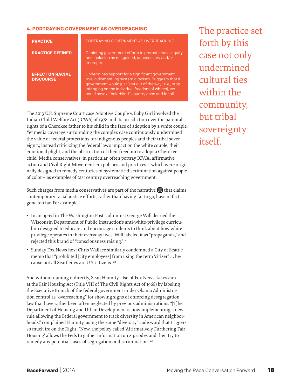# **4. PORTRAYING GOVERNMENT AS OVERREACHING**

| <b>PRACTICE</b>                             | PORTRAYING GOVERNMENT AS OVERREACHING                                                                                                                                                                                                                                            |
|---------------------------------------------|----------------------------------------------------------------------------------------------------------------------------------------------------------------------------------------------------------------------------------------------------------------------------------|
| <b>PRACTICE DEFINED</b>                     | Depicting government efforts to promote racial equity<br>and inclusion as misguided, unnecessary and/or<br>improper.                                                                                                                                                             |
| <b>EFFECT ON RACIAL</b><br><b>DISCOURSE</b> | Undermines support for a significant government<br>role in dismantling systemic racism. Suggests that if<br>government would just "get out of the way" (i.e., stop<br>infringing on the individual freedom of whites), we<br>could have a "colorblind" country once and for all. |

The 2013 U.S. Supreme Court case Adoptive Couple v. Baby Girl involved the Indian Child Welfare Act (ICWA) of 1978 and its jurisdiction over the parental rights of a Cherokee father to his child in the face of adoption by a white couple. Yet media coverage surrounding the complex case continuously undermined the value of federal protections for indigenous peoples and their tribal sovereignty, instead criticizing the federal law's impact on the white couple, their emotional plight, and the obstruction of their freedom to adopt a Cherokee child. Media conservatives, in particular, often portray ICWA, affirmative action and Civil Right Movement-era policies and practices – which were originally designed to remedy centuries of systematic discrimination against people of color – as examples of 21st century overreaching government.

Such charges from media conservatives are part of the narrative  $\blacksquare$  that claims contemporary racial justice efforts, rather than having far to go, have in fact gone too far. For example,

- In an op-ed in The Washington Post, columnist George Will decried the Wisconsin Department of Public Instruction's anti-white-privilege curriculum designed to educate and encourage students to think about how white privilege operates in their everyday lives. Will labeled it as "propaganda," and rejected this brand of "consciousness raising."27
- Sunday Fox News host Chris Wallace similarly condemned a City of Seattle memo that "prohibited [city employees] from using the term 'citizen' … because not all Seattleites are U.S. citizens."28

And without naming it directly, Sean Hannity, also of Fox News, takes aim at the Fair Housing Act (Title VIII of The Civil Rights Act of 1968) by labeling the Executive Branch of the federal government under Obama Administration control as "overreaching" for showing signs of enforcing desegregation law that have rather been often neglected by previous administrations. "[T]he Department of Housing and Urban Development is now implementing a new rule allowing the Federal government to track diversity in American neighborhoods," complained Hannity, using the same "diversity" code word that triggers so much ire on the Right. "Now, the policy called 'Affirmatively Furthering Fair Housing' allows the Feds to gather information on zip codes and then try to remedy any potential cases of segregation or discrimination."29

The practice set forth by this case not only undermined cultural ties within the community, but tribal sovereignty itself.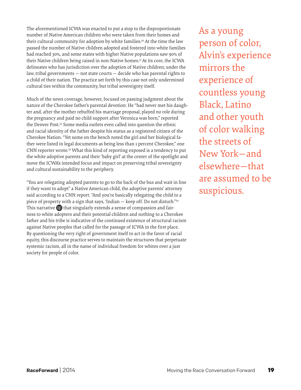The aforementioned ICWA was enacted to put a stop to the disproportionate number of Native American children who were taken from their homes and their cultural community for adoption by white families.<sup>30</sup> At the time the law passed the number of Native children adopted and fostered into white families had reached 30%, and some states with higher Native populations saw 90% of their Native children being raised in non-Native homes.<sup>31</sup> At its core, the ICWA delineates who has jurisdiction over the adoption of Native children; under the law, tribal governments — not state courts — decide who has parental rights to a child of their nation. The practice set forth by this case not only undermined cultural ties within the community, but tribal sovereignty itself.

Much of the news coverage, however, focused on passing judgment about the nature of the Cherokee father's parental devotion: He "had never met his daughter and, after the mother rebuffed his marriage proposal, played no role during the pregnancy and paid no child support after Veronica was born," reported the Denver Post.<sup>32</sup> Some media outlets even called into question the ethnic and racial identity of the father despite his status as a registered citizen of the Cherokee Nation. "Yet some on the bench noted the girl and her biological father were listed in legal documents as being less than 1 percent Cherokee," one CNN reporter wrote.33 What this kind of reporting exposed is a tendency to put the white adoptive parents and their 'baby girl' at the center of the spotlight and move the ICWA's intended focus and impact on preserving tribal sovereignty and cultural sustainability to the periphery.

"You are relegating adopted parents to go to the back of the bus and wait in line if they want to adopt" a Native American child, the adoptive parents' attorney said according to a CNN report. "And you're basically relegating the child to a piece of property with a sign that says, 'Indian — keep off. Do not disturb."34 This narrative  $\blacksquare$  that singularly extends a sense of compassion and fairness to white adopters and their potential children and nothing to a Cherokee father and his tribe is indicative of the continued existence of structural racism against Native peoples that called for the passage of ICWA in the first place. By questioning the very right of government itself to act in the favor of racial equity, this discourse practice serves to maintain the structures that perpetuate systemic racism, all in the name of individual freedom for whites over a just society for people of color.

As a young person of color, Alvin's experience mirrors the experience of countless young Black, Latino and other youth of color walking the streets of New York—and elsewhere—that are assumed to be suspicious.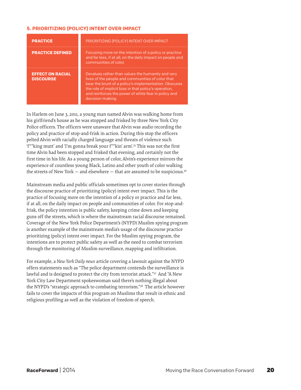# **5. PRIORITIZING (POLICY) INTENT OVER IMPACT**

| <b>PRACTICE</b>                             | PRIORITIZING (POLICY) INTENT OVER IMPACT                                                                                                                                                                                                                                                             |
|---------------------------------------------|------------------------------------------------------------------------------------------------------------------------------------------------------------------------------------------------------------------------------------------------------------------------------------------------------|
| <b>PRACTICE DEFINED</b>                     | Focusing more on the intention of a policy or practice<br>and far less, if at all, on the daily impact on people and<br>communities of color.                                                                                                                                                        |
| <b>EFFECT ON RACIAL</b><br><b>DISCOURSE</b> | Devalues rather than values the humanity and very<br>lives of the people and communities of color that<br>bear the brunt of a policy's implementation. Obscures<br>the role of implicit bias in that policy's operation,<br>and reinforces the power of white fear in policy and<br>decision-making. |

In Harlem on June 3, 2011, a young man named Alvin was walking home from his girlfriend's house as he was stopped and frisked by three New York City Police officers. The officers were unaware that Alvin was audio recording the policy and practice of stop-and-frisk in action. During this stop the officers pelted Alvin with racially charged language and threats of violence such 'f\*\*king mutt' and 'I'm gonna break your f\*\*kin' arm'.35 This was not the first time Alvin had been stopped and frisked that evening, and certainly not the first time in his life. As a young person of color, Alvin's experience mirrors the experience of countless young Black, Latino and other youth of color walking the streets of New York  $-$  and elsewhere  $-$  that are assumed to be suspicious.<sup>36</sup>

Mainstream media and public officials sometimes opt to cover stories through the discourse practice of prioritizing (policy) intent over impact. This is the practice of focusing more on the intention of a policy or practice and far less, if at all, on the daily impact on people and communities of color. For stop-andfrisk, the policy intention is public safety, keeping crime down and keeping guns off the streets, which is where the mainstream racial discourse remained. Coverage of the New York Police Department's (NYPD) Muslim spying program is another example of the mainstream media's usage of the discourse practice prioritizing (policy) intent over impact. For the Muslim spying program, the intentions are to protect public safety as well as the need to combat terrorism through the monitoring of Muslim surveillance, mapping and infiltration.

For example, a *New York Daily news* article covering a lawsuit against the NYPD offers statements such as "The police department contends the surveillance is lawful and is designed to protect the city from terrorist attack."<sup>37</sup> And "A New York City Law Department spokeswoman said there's nothing illegal about the NYPD's "strategic approach to combating terrorism."38 The article however fails to cover the impacts of this program on Muslims that result in ethnic and religious profiling as well as the violation of freedom of speech.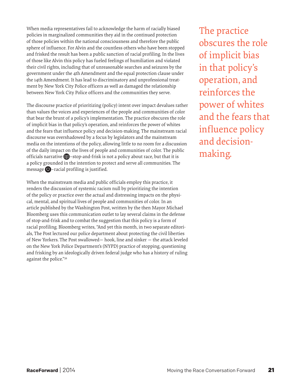When media representatives fail to acknowledge the harm of racially biased policies in marginalized communities they aid in the continued protection of those policies within the national consciousness and therefore the public sphere of influence. For Alvin and the countless others who have been stopped and frisked the result has been a public sanction of racial profiling. In the lives of those like Alvin this policy has fueled feelings of humiliation and violated their civil rights, including that of unreasonable searches and seizures by the government under the 4th Amendment and the equal protection clause under the 14th Amendment. It has lead to discriminatory and unprofessional treatment by New York City Police officers as well as damaged the relationship between New York City Police officers and the communities they serve.

The discourse practice of prioritizing (policy) intent over impact devalues rather than values the voices and experiences of the people and communities of color that bear the brunt of a policy's implementation. The practice obscures the role of implicit bias in that policy's operation, and reinforces the power of whites and the fears that influence policy and decision-making. The mainstream racial discourse was overshadowed by a focus by legislators and the mainstream media on the intentions of the policy, allowing little to no room for a discussion of the daily impact on the lives of people and communities of color. The public officials narrative  $\blacksquare$  – stop-and-frisk is not a policy about race, but that it is a policy grounded in the intention to protect and serve all communities. The message  $\Box$  -racial profiling is justified.

When the mainstream media and public officials employ this practice, it renders the discussion of systemic racism null by prioritizing the intention of the policy or practice over the actual and distressing impacts on the physical, mental, and spiritual lives of people and communities of color. In an article published by the Washington Post, written by the then Mayor Michael Bloomberg uses this communication outlet to lay several claims in the defense of stop-and-frisk and to combat the suggestion that this policy is a form of racial profiling. Bloomberg writes, "And yet this month, in two separate editorials, The Post lectured our police department about protecting the civil liberties of New Yorkers. The Post swallowed— hook, line and sinker — the attack leveled on the New York Police Department's (NYPD) practice of stopping, questioning and frisking by an ideologically driven federal judge who has a history of ruling against the police."39

The practice obscures the role of implicit bias in that policy's operation, and reinforces the power of whites and the fears that influence policy and decisionmaking.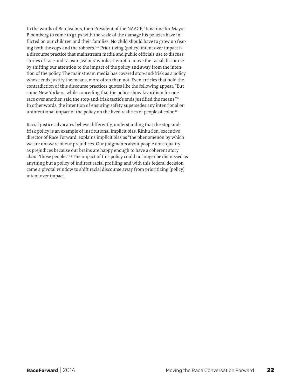In the words of Ben Jealous, then President of the NAACP, "It is time for Mayor Bloomberg to come to grips with the scale of the damage his policies have inflicted on our children and their families. No child should have to grow up fearing both the cops and the robbers."40 Prioritizing (policy) intent over impact is a discourse practice that mainstream media and public officials use to discuss stories of race and racism. Jealous' words attempt to move the racial discourse by shifting our attention to the impact of the policy and away from the intention of the policy. The mainstream media has covered stop-and-frisk as a policy whose ends justify the means, more often than not. Even articles that hold the contradiction of this discourse practices quotes like the following appear, "But some New Yorkers, while conceding that the police show favoritism for one race over another, said the stop-and-frisk tactic's ends justified the means."41 In other words, the intention of ensuring safety supersedes any intentional or unintentional impact of the policy on the lived realities of people of color.<sup>42</sup>

Racial justice advocates believe differently, understanding that the stop-andfrisk policy is an example of institutional implicit bias. Rinku Sen, executive director of Race Forward, explains implicit bias as "the phenomenon by which we are unaware of our prejudices. Our judgments about people don't qualify as prejudices because our brains are happy enough to have a coherent story about 'those people'." <sup>43</sup> The impact of this policy could no longer be dismissed as anything but a policy of indirect racial profiling and with this federal decision came a pivotal window to shift racial discourse away from prioritizing (policy) intent over impact.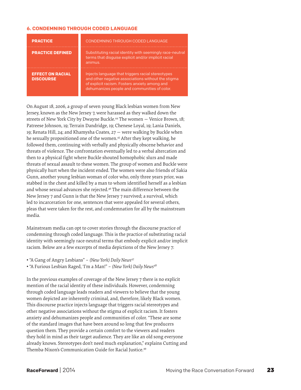# **6. CONDEMNING THROUGH CODED LANGUAGE**

| <b>PRACTICE</b>                             | <b>CONDEMNING THROUGH CODED LANGUAGE</b>                                                                                                                                                                 |
|---------------------------------------------|----------------------------------------------------------------------------------------------------------------------------------------------------------------------------------------------------------|
| <b>PRACTICE DEFINED</b>                     | Substituting racial identity with seemingly race-neutral<br>terms that disquise explicit and/or implicit racial<br>animus.                                                                               |
| <b>EFFECT ON RACIAL</b><br><b>DISCOURSE</b> | Injects language that triggers racial stereotypes<br>and other negative associations without the stigma<br>of explicit racism. Fosters anxiety among and<br>dehumanizes people and communities of color. |

On August 18, 2006, a group of seven young Black lesbian women from New Jersey, known as the New Jersey 7, were harassed as they walked down the streets of New York City by Dwayne Buckle.44 The women — Venice Brown, 18; Patreese Johnson, 19; Terrain Dandridge, 19; Chenese Loyal, 19; Lania Daniels, 19; Renata Hill, 24; and Khamysha Coates, 27 — were walking by Buckle when he sexually propositioned one of the women.45 After they kept walking, he followed them, continuing with verbally and physically obscene behavior and threats of violence. The confrontation eventually led to a verbal altercation and then to a physical fight where Buckle shouted homophobic slurs and made threats of sexual assault to these women. The group of women and Buckle were physically hurt when the incident ended. The women were also friends of Sakia Gunn, another young lesbian woman of color who, only three years prior, was stabbed in the chest and killed by a man to whom identified herself as a lesbian and whose sexual advances she rejected.<sup>46</sup> The main difference between the New Jersey 7 and Gunn is that the New Jersey 7 survived; a survival, which led to incarceration for one, sentences that were appealed for several others, pleas that were taken for the rest, and condemnation for all by the mainstream media.

Mainstream media can opt to cover stories through the discourse practice of condemning through coded language. This is the practice of substituting racial identity with seemingly race-neutral terms that embody explicit and/or implicit racism. Below are a few excerpts of media depictions of the New Jersey 7:

- "A Gang of Angry Lesbians" *(New York) Daily News*<sup>47</sup>
- "A Furious Lesbian Raged, 'I'm a Man!" *(New York) Daily News*<sup>48</sup>

In the previous examples of coverage of the New Jersey 7 there is no explicit mention of the racial identity of these individuals. However, condemning through coded language leads readers and viewers to believe that the young women depicted are inherently criminal, and, therefore, likely Black women. This discourse practice injects language that triggers racial stereotypes and other negative associations without the stigma of explicit racism. It fosters anxiety and dehumanizes people and communities of color. "These are some of the standard images that have been around so long that few producers question them. They provide a certain comfort to the viewers and readers they hold in mind as their target audience. They are like an old song everyone already knows. Stereotypes don't need much explanation," explains Cutting and Themba-Nixon's Communication Guide for Racial Justice.49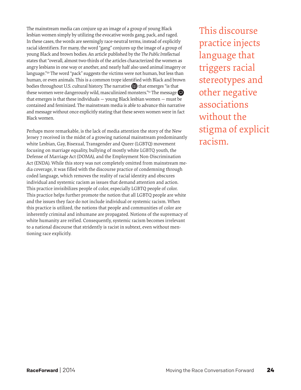The mainstream media can conjure up an image of a group of young Black lesbian women simply by utilizing the evocative words gang, pack, and raged. In these cases, the words are seemingly race-neutral terms, instead of explicitly racial identifiers. For many, the word "gang" conjures up the image of a group of young Black and brown bodies. An article published by the *The Public Intellectual* states that "overall, almost two-thirds of the articles characterized the women as angry lesbians in one way or another, and nearly half also used animal imagery or language."<sup>50</sup> The word "pack" suggests the victims were not human, but less than human, or even animals. This is a common trope identified with Black and brown bodies throughout U.S. cultural history. The narrative **that** emerges "is that these women were dangerously wild, masculinized monsters." $51$  The message that emerges is that these individuals — young Black lesbian women — must be contained and feminized. The mainstream media is able to advance this narrative and message without once explicitly stating that these seven women were in fact Black women.

Perhaps more remarkable, is the lack of media attention the story of the New Jersey 7 received in the midst of a growing national mainstream predominantly white Lesbian, Gay, Bisexual, Transgender and Queer (LGBTQ) movement focusing on marriage equality, bullying of mostly white LGBTQ youth, the Defense of Marriage Act (DOMA), and the Employment Non-Discrimination Act (ENDA). While this story was not completely omitted from mainstream media coverage, it was filled with the discourse practice of condemning through coded language, which removes the reality of racial identity and obscures individual and systemic racism as issues that demand attention and action. This practice invisibilizes people of color, especially LGBTQ people of color. This practice helps further promote the notion that all LGBTQ people are white and the issues they face do not include individual or systemic racism. When this practice is utilized, the notions that people and communities of color are inherently criminal and inhumane are propagated. Notions of the supremacy of white humanity are reified. Consequently, systemic racism becomes irrelevant to a national discourse that stridently is racist in subtext, even without mentioning race explicitly.

This discourse practice injects language that triggers racial stereotypes and other negative associations without the stigma of explicit racism.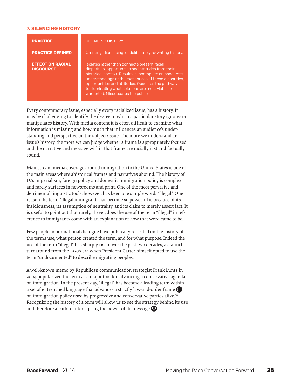# **7. SILENCING HISTORY**

| <b>PRACTICE</b>                             | <b>SILENCING HISTORY</b>                                                                                                                                                                                                                                                                                                                                                  |
|---------------------------------------------|---------------------------------------------------------------------------------------------------------------------------------------------------------------------------------------------------------------------------------------------------------------------------------------------------------------------------------------------------------------------------|
| <b>PRACTICE DEFINED</b>                     | Omitting, dismissing, or deliberately re-writing history.                                                                                                                                                                                                                                                                                                                 |
| <b>EFFECT ON RACIAL</b><br><b>DISCOURSE</b> | Isolates rather than connects present racial<br>disparities, opportunities and attitudes from their<br>historical context. Results in incomplete or inaccurate<br>understandings of the root causes of these disparities,<br>opportunities and attitudes. Obscures the pathway<br>to illuminating what solutions are most viable or<br>warranted. Miseducates the public. |

Every contemporary issue, especially every racialized issue, has a history. It may be challenging to identify the degree to which a particular story ignores or manipulates history. With media content it is often difficult to examine what information is missing and how much that influences an audience's understanding and perspective on the subject/issue. The more we understand an issue's history, the more we can judge whether a frame is appropriately focused and the narrative and message within that frame are racially just and factually sound.

Mainstream media coverage around immigration to the United States is one of the main areas where ahistorical frames and narratives abound. The history of U.S. imperialism, foreign policy and domestic immigration policy is complex and rarely surfaces in newsrooms and print. One of the most pervasive and detrimental linguistic tools, however, has been one simple word: "illegal." One reason the term "illegal immigrant" has become so powerful is because of its insidiousness, its assumption of neutrality, and its claim to merely assert fact. It is useful to point out that rarely, if ever, does the use of the term "illegal" in reference to immigrants come with an explanation of how that word came to be.

Few people in our national dialogue have publically reflected on the history of the term's use, what person created the term, and for what purpose. Indeed the use of the term "illegal" has sharply risen over the past two decades, a staunch turnaround from the 1970's era when President Carter himself opted to use the term "undocumented" to describe migrating peoples.

A well-known memo by Republican communication strategist Frank Luntz in 2004 popularized the term as a major tool for advancing a conservative agenda on immigration. In the present day, "illegal" has become a leading term within a set of entrenched language that advances a strictly law-and-order frame on immigration policy used by progressive and conservative parties alike.<sup>52</sup> Recognizing the history of a term will allow us to see the strategy behind its use and therefore a path to interrupting the power of its message  $\bigcirc$ .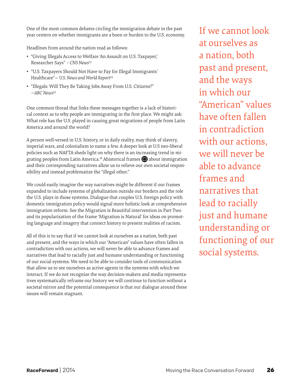One of the most common debates circling the immigration debate in the past year centers on whether immigrants are a boon or burden to the U.S. economy.

Headlines from around the nation read as follows:

- • "Giving Illegals Access to Welfare 'An Assault on U.S. Taxpayer,' Researcher Says" *– CNS News*<sup>53</sup>
- • "U.S. Taxpayers Should Not Have to Pay for Illegal Immigrants' Healthcare"*— U.S. News and World Report*<sup>54</sup>
- • "Illegals: Will They Be Taking Jobs Away From U.S. Citizens?" *—ABC News*<sup>55</sup>

One common thread that links these messages together is a lack of historical context as to why people are immigrating in the first place. We might ask: What role has the U.S. played in causing great migrations of people from Latin America and around the world?

A person well-versed in U.S. history, or in daily reality, may think of slavery, imperial wars, and colonialism to name a few. A deeper look at U.S neo-liberal policies such as NAFTA sheds light on why there is an increasing trend in migrating peoples from Latin America.<sup>56</sup> Ahistorical frames  $\bigoplus$  about immigration and their corresponding narratives allow us to relieve our own societal responsibility and instead problematize the "illegal other."

We could easily imagine the way narratives might be different if our frames expanded to include systems of globalization outside our borders and the role the U.S. plays in those systems. Dialogue that couples U.S. foreign policy with domestic immigration policy would signal more holistic look at comprehensive immigration reform. See the Migration is Beautiful intervention in Part Two and its popularization of the frame 'Migration is Natural' for ideas on promoting language and imagery that connect history to present realities of racism.

All of this is to say that if we cannot look at ourselves as a nation, both past and present, and the ways in which our "American" values have often fallen in contradiction with our actions, we will never be able to advance frames and narratives that lead to racially just and humane understanding or functioning of our social systems. We need to be able to consider tools of communication that allow us to see ourselves as active agents in the systems with which we interact. If we do not recognize the way decision-makers and media representatives systematically reframe our history we will continue to function without a societal mirror and the potential consequence is that our dialogue around these issues will remain stagnant.

If we cannot look at ourselves as a nation, both past and present, and the ways in which our "American" values have often fallen in contradiction with our actions, we will never be able to advance frames and narratives that lead to racially just and humane understanding or functioning of our social systems.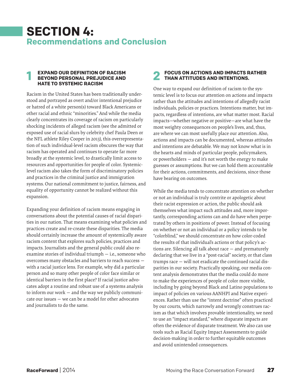# **SECTION 4: Recommendations and Conclusion**

# **EXPAND OUR DEFINITION OF RACISM BEYOND PERSONAL PREJUDICE AND <b>2**<br> **1** BEYOND PERSONAL PREJUDICE AND **2 HATE TO SYSTEMIC RACISM**

Racism in the United States has been traditionally understood and portrayed as overt and/or intentional prejudice or hatred of a white person(s) toward Black Americans or other racial and ethnic "minorities." And while the media clearly concentrates its coverage of racism on particularly shocking incidents of alleged racism (see the admitted or exposed use of racial slurs by celebrity chef Paula Deen or the NFL athlete Riley Cooper in 2013), this overrepresentation of such individual-level racism obscures the way that racism has operated and continues to operate far more broadly at the systemic level, to drastically limit access to resources and opportunities for people of color. Systemiclevel racism also takes the form of discriminatory policies and practices in the criminal justice and immigration systems. Our national commitment to justice, fairness, and equality of opportunity cannot be realized without this expansion.

Expanding your definition of racism means engaging in conversations about the potential causes of racial disparities in our nation. That means examining what policies and practices create and re-create these disparities. The media should certainly increase the amount of systemically aware racism content that explores such policies, practices and impacts. Journalists and the general public could also reexamine stories of individual triumph — i.e., someone who overcomes many obstacles and barriers to reach success with a racial justice lens. For example, why did a particular person and so many other people of color face similar or identical barriers in the first place? If racial justice advocates adopt a routine and robust use of a systems analysis to inform our work — and the way we publicly communicate our issues — we can be a model for other advocates and journalists to do the same.

# **FOCUS ON ACTIONS AND IMPACTS RATHER THAN ATTITUDES AND INTENTIONS.**

One way to expand our definition of racism to the systemic level is to focus our attention on actions and impacts rather than the attitudes and intentions of allegedly racist individuals, policies or practices. Intentions matter, but impacts, regardless of intentions, are what matter most. Racial impacts—whether negative or positive—are what have the most weighty consequences on people's lives, and, thus, are where we can most usefully place our attention. Also, actions and impacts can be documented, whereas attitudes and intentions are debatable. We may not know what is in the hearts and minds of particular people, policymakers, or powerholders — and it's not worth the energy to make guesses or assumptions. But we can hold them accountable for their actions, commitments, and decisions, since those have bearing on outcomes.

While the media tends to concentrate attention on whether or not an individual is truly contrite or apologetic about their racist expression or action, the public should ask themselves what impact such attitudes and, more importantly, corresponding actions can and do have when perpetrated by others in positions of power. Instead of focusing on whether or not an individual or a policy intends to be "colorblind," we should concentrate on how color-coded the results of that individual's actions or that policy's actions are. Silencing all talk about race — and prematurely declaring that we live in a "post-racial" society, or that class trumps race — will not eradicate the continued racial disparities in our society. Practically speaking, our media content analysis demonstrates that the media could do more to make the experiences of people of color more visible, including by going beyond Black and Latino populations to impact of policies on various AANHPI and Native experiences. Rather than use the "intent doctrine" often practiced by our courts, which narrowly and wrongly construes racism as that which involves provable intentionality, we need to use an "impact standard," where disparate impacts are often the evidence of disparate treatment. We also can use tools such as Racial Equity Impact Assessments to guide decision-making in order to further equitable outcomes and avoid unintended consequences.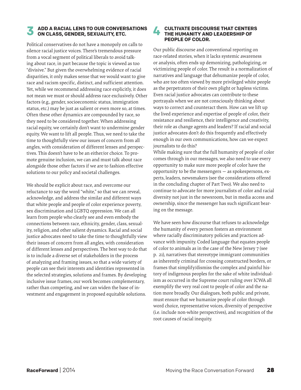# **ADD A RACIAL LENS TO OUR CONVERSATIONS ON CLASS, GENDER, SEXUALITY, ETC. 3 4**

Political conservatives do not have a monopoly on calls to silence racial justice voices. There's tremendous pressure from a vocal segment of political liberals to avoid talking about race, in part because the topic is viewed as too "divisive." But given the overwhelming evidence of racial disparities, it only makes sense that we would want to give race and racism specific, distinct, and sufficient attention. Yet, while we recommend addressing race explicitly, it does not mean we must or should address race exclusively. Other factors (e.g., gender, socioeconomic status, immigration status, etc.) may be just as salient or even more so, at times. Often these other dynamics are compounded by race, so they need to be considered together. When addressing racial equity, we certainly don't want to undermine gender equity. We want to lift all people. Thus, we need to take the time to thoughtfully view our issues of concern from all angles, with consideration of different lenses and perspectives. This doesn't have to be an either/or choice. To promote genuine inclusion, we can and must talk about race alongside those other factors if we are to fashion effective solutions to our policy and societal challenges.

We should be explicit about race, and overcome our reluctance to say the word "white," so that we can reveal, acknowledge, and address the similar and different ways that white people and people of color experience poverty, sex discrimination and LGBTQ oppression. We can all learn from people who clearly see and even embody the connections between race, ethnicity, gender, class, sexuality, religion, and other salient dynamics. Racial and social justice advocates need to take the time to thoughtfully view their issues of concern from all angles, with consideration of different lenses and perspectives. The best way to do that is to include a diverse set of stakeholders in the process of analyzing and framing issues, so that a wide variety of people can see their interests and identities represented in the selected strategies, solutions and frames. By developing inclusive issue frames, our work becomes complementary, rather than competing, and we can widen the base of investment and engagement in proposed equitable solutions.

# **CULTIVATE DISCOURSE THAT CENTERS THE HUMANITY AND LEADERSHIP OF PEOPLE OF COLOR.**

Our public discourse and conventional reporting on race-related stories, when it lacks systemic awareness or analysis, often ends up demonizing, pathologizing, or victimizing people of color. The result is a normalization of narratives and language that dehumanize people of color, who are too often viewed by more privileged white people as the perpetrators of their own plight or hapless victims. Even racial justice advocates can contribute to these portrayals when we are not consciously thinking about ways to correct and counteract them. How can we lift up the lived experience and expertise of people of color, their resistance and resilience, their intelligence and creativity, their role as change agents and leaders? If racial and social justice advocates don't do this frequently and effectively enough in our own communications, how can we expect journalists to do this?

While making sure that the full humanity of people of color comes through in our messages, we also need to use every opportunity to make sure more people of color have the opportunity to be the messengers — as spokespersons, experts, leaders, newsmakers (see the considerations offered in the concluding chapter of Part Two). We also need to continue to advocate for more journalists of color and racial diversity not just in the newsroom, but in media access and ownership, since the messenger has such significant bearing on the message.

We have seen how discourse that refuses to acknowledge the humanity of every person fosters an environment where racially discriminatory policies and practices advance with impunity. Coded language that equates people of color to animals as in the case of the New Jersey 7 (see p. 21), narratives that stereotype immigrant communities as inherently criminal for crossing constructed borders, or frames that simplify/dismiss the complex and painful history of indigenous peoples for the sake of white individualism as occurred in the Supreme court ruling over ICWA all exemplify the very real cost to people of color and the nation more broadly. Our dialogues, both public and private, must ensure that we humanize people of color through word choice, representative voices, diversity of perspective (i.e. include non-white perspectives), and recognition of the root causes of racial inequity.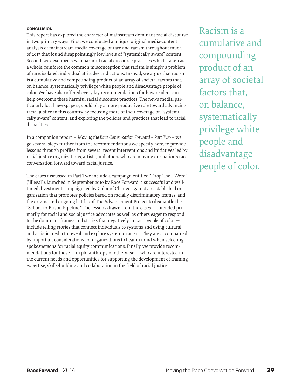# **CONCLUSION**

This report has explored the character of mainstream dominant racial discourse in two primary ways. First, we conducted a unique, original media-content analysis of mainstream media coverage of race and racism throughout much of 2013 that found disappointingly low levels of "systemically aware" content. Second, we described seven harmful racial discourse practices which, taken as a whole, reinforce the common misconception that racism is simply a problem of rare, isolated, individual attitudes and actions. Instead, we argue that racism is a cumulative and compounding product of an array of societal factors that, on balance, systematically privilege white people and disadvantage people of color. We have also offered everyday recommendations for how readers can help overcome these harmful racial discourse practices. The news media, particularly local newspapers, could play a more productive role toward advancing racial justice in this country by focusing more of their coverage on "systemically aware" content, and exploring the policies and practices that lead to racial disparities.

In a companion report – *Moving the Race Conversation Forward – Part Two* – we go several steps further from the recommendations we specify here, to provide lessons through profiles from several recent interventions and initiatives led by racial justice organizations, artists, and others who are moving our nation's race conversation forward toward racial justice.

The cases discussed in Part Two include a campaign entitled "Drop The I-Word" ("illegal"), launched in September 2010 by Race Forward, a successful and welltimed divestment campaign led by Color of Change against an established organization that promotes policies based on racially discriminatory frames, and the origins and ongoing battles of The Advancement Project to dismantle the "School-to-Prison Pipeline." The lessons drawn from the cases — intended primarily for racial and social justice advocates as well as others eager to respond to the dominant frames and stories that negatively impact people of color include telling stories that connect individuals to systems and using cultural and artistic media to reveal and explore systemic racism. They are accompanied by important considerations for organizations to bear in mind when selecting spokespersons for racial equity communications. Finally, we provide recommendations for those  $-$  in philanthropy or otherwise  $-$  who are interested in the current needs and opportunities for supporting the development of framing expertise, skills-building and collaboration in the field of racial justice.

Racism is a cumulative and compounding product of an array of societal factors that, on balance, systematically privilege white people and disadvantage people of color.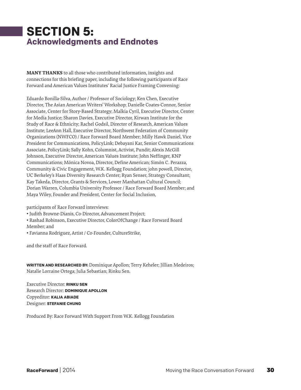# **SECTION 5: Acknowledgments and Endnotes**

**MANY THANKS** to all those who contributed information, insights and connections for this briefing paper, including the following participants of Race Forward and American Values Institutes' Racial Justice Framing Convening:

Eduardo Bonilla-Silva, Author / Professor of Sociology; Ken Chen, Executive Director, The Asian American Writers' Workshop; Danielle Coates-Connor, Senior Associate, Center for Story-Based Strategy; Malkia Cyril, Executive Director, Center for Media Justice; Sharon Davies, Executive Director, Kirwan Institute for the Study of Race & Ethnicity; Rachel Godsil, Director of Research, American Values Institute; LeeAnn Hall, Executive Director, Northwest Federation of Community Organizations (NWFCO) / Race Forward Board Member; Milly Hawk Daniel, Vice President for Communications, PolicyLink; Debayani Kar, Senior Communications Associate, PolicyLink; Sally Kohn, Columnist, Activist, Pundit; Alexis McGill Johnson, Executive Director, American Values Institute; John Neffinger, KNP Communications; Mónica Novoa, Director, Define American; Simón C. Perazza, Community & Civic Engagement, W.K. Kellogg Foundation; john powell, Director, UC Berkeley's Haas Diversity Research Center; Ryan Senser, Strategy Consultant; Kay Takeda, Director, Grants & Services, Lower Manhattan Cultural Council; Dorian Warren, Columbia University Professor / Race Forward Board Member; and Maya Wiley, Founder and President, Center for Social Inclusion,

participants of Race Forward interviews:

- Judith Browne-Dianis, Co-Director, Advancement Project;
- Rashad Robinson, Executive Director, ColorOfChange / Race Forward Board

Member; and

• Favianna Rodriguez, Artist / Co-Founder, CultureStrike,

and the staff of Race Forward.

**WRITTEN AND RESEARCHED BY:** Dominique Apollon; Terry Keheler; Jillian Medeiros; Natalíe Lorraine Ortega; Julia Sebastian; Rinku Sen.

Executive Director: **RINKU SEN** Research Director: **DOMINIQUE APOLLON** Copyeditor: **KALIA ABIADE** Designer: **STEFANIE CHUNG** 

Produced By: Race Forward With Support From W.K. Kellogg Foundation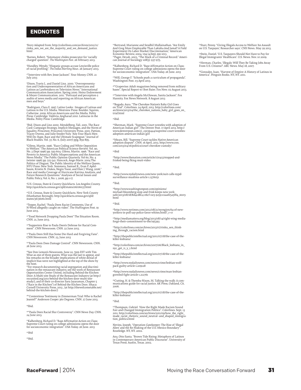# **ENDNOTES**

1 Story Adapted from: http://colorlines.com/archives/2012/11/ rinku\_sen\_we\_are\_the\_majority\_and\_we\_demand\_justice. html

2 Barnes, Robert. "Sotomayor chides prosecutor for 'racially charged' question". *The Washington Post*. 26 February 2013.

3 Hundley, Wendy. "Hispanic groups accuse Lewisville police of racial profiling". *The Dallas Morning News*. 26 January 2013.

4 "Interview with Rev. Jesse Jackson". Your Money. CNN. 21 July 2013

5 Dixon, Travis L. and Daniel Linz. 2000. "Overrepresentation and Underrepresentation of African Americans and<br>Latinos as Lawbreakers on Television News." International<br>Communication Association. Spring 2000. Heinz Endowment<br>& Meyer Communication. 2011. "Portrayal and perception audits of news media and reporting on African American men and boys.

°Rodriguez, Clara E. 1997. Latino Looks : Images of Latinas and<br>Latinos in the U.S. Media. Westview Press: Boulder. Squires,<br>Catherine. 2009. African Americans and the Media. Polity<br>Press: Cambridge. Valdivia, Angharad 201 Media. Polity Press: Cambridge.

7 Ibid. Dixon and Linz 2000. Mendelberg, Tali. 2001. The Race Card: Campaign Strategy, Implicit Messages, and the Norm of<br>Equality. Princeton: Princeton University Press. 2001. Pattion,<br>Tracey Owens, and Julie Snyder-Yuly. "Any Four Black Men<br>Will Do: Rape, Race and the Ultimate Scap

\*Gilens, Martin. 1996. "Race Coding and White Opposition<br>to Welfare." The American Political Science Review. Vol. 90,<br>No. 3 (Sept 1996) pp. 533-604. Gilens, Martin. 1996. "Race and<br>Poverty in America: Public Opinion Quarte (winter 1996) pp. 515-541. Hancock, Ange-Marie. 2004 The<br>Politics of Disgust. The Public Identity of the Welfare Queen..<br>NYU Press: New York. Sommers, Samuel R., Evan P. Apfel-<br>baum, Kristin N. Dukes, Negin Toosi, and Elsi

9 U.S. Census, State & County Quickfacts. Los Angeles County. http://quickfacts.census.gov/qfd/states/06/06037.html

10U.S. Census, State & County Quickfacts. New York County (Manhattan Borough). http://quickfacts.census.gov/qfd/ states/36/36061.html

"Tepper, Rachel. "Paula Deen Racist Comments, Use of<br>N-Word allegedly caught on video". The Huffington Post. 19 June 2013.

12"Food Network Dropping Paula Deen" The Situation Room. CNN. 21, June 2013.

13"Supporters Rise to Paula Deen's Defense for Racial Com-<br>ment". CNN Newsroom. CNN. 22 June 2013.

Paula Deen Still Has Some Die-Hard and Forgiving Fans". CNN Newsroom. CNN. 23, June 2013

15"Paula Deen Does Damage Control". CNN Newsroom. CNN. 26 June 2013.

<sup>#S</sup>ee Don Lemon's Newsroom, June 22, 7pm EST with Tim<br>Wise as one of three guests. Wise was the last to appear, and<br>his remarks on the broader implications of white denial of<br>implicit bias were not highlighted at the top

<sup>17</sup>For research documenting racial segregation and discrimi-<br>nation in the restaurant industry, see the work of Restaurant<br>Opportunities Center United, including Behind the Kitchen<br>Door: A Multi-site Study of the Restaura rocunited.org/2011-behind-the-kitchen-door-multi-sitestudy/), and of their co-director Saru Jayaraman, Chapter 5 ("Race in the Kitchen") of Behind the Kitchen Door. Ithaca: Cornell University Press, 2013 , (at http://thewelcometable.net/ behind-the-kitchen-door/)

<sup>18</sup>"Contentious Testimony in Zimmerman Trial: Who is Rachel<br>Jeantel?" Anderson Cooper 360 Degrees. CNN. 27 June 2013.

19Ibid.

20"Paula Deen Racial Slur Controversy". CNN News Day. CNN. 24 June 2013.

<sup>21</sup>Kalhenberg, Richard D. "Base Affirmative Action on Class Supreme Court ruling on college admissions opens the door for socioeconomic integration". USA Today. 26 June. 2013

22ibid

23ibid.

24Bertrand, Marianne and Sendhil Mullainathan. "Are Emily And Greg More Employable Than Lakisha And Jamal? A Field Experiment On Labor Market Discrimination," American Economic Review, 2004, v94 (4,Sep), 991-1013. 25Pager, Devah. 2003. "The Mark of a Criminal Record." Ameri-can Journal of Sociology 108(5): 937-975.

26Kalhenberg, Richard D. "Base Affirmative Action on Class; Supreme Court ruling on college admissions opens the door for socioeconomic integration". USA Today. 26 June. 2013

27Will, George F. "Schools push a curriculum of propaganda". Washington Post. 03 April 2013.

<sup>28</sup>"Grapevine: Adult magazines being removed from military<br>bases". Special Report w/ Bret Baier. Fox New. 02 August 2013.

<sup>29"</sup>Interview with Angela McGlowan, Sanita Jackson". Fox<br>Hannity. Fox News Network. 8 August 2013

30Bogado, Aura. "The Cherokee Nation's Baby Girl Goes on Trial". Colorlines. 24 April, 2013. http://colorlines.com/ archives/2013/04/the\_cherokee\_nations\_baby\_girl\_goes\_on\_ trial.html

31ibid.

<sup>33</sup>Sherman, Mark. "Supreme Court wrestles with adoption of<br>American Indian girl". The Denver Post. 17 April 2013. http://<br>www.denverpost.com/ci\_23039444/supreme-court-wrestles-<br>adoption-american-indian-girl

33Mears, Bill. "Supreme Court tackles Native American<br>adoption dispute". CNN. 16 April, 2013. http://www.cnn.<br>com/2013/04/16/politics/court-cherokee-custody/

#### 34ibid

35http://www.thenation.com/article/170413/stopped-andfrisked-being-fking-mutt-video

36ibid.

37http://www.nydailynews.com/new-york/suit-calls-nypd-surveillance-muslims-article-1.1376051

38ibid.

39http://www.washingtonpost.com/opinions/ michael-bloomberg-stop-and-frisk-keeps-new-york-safe/2013/08/18/8d4cd8c4-06cf-11e3-9259-e2aafe5a5f84\_story. html

#### 40ibid.

41http://www.nytimes.com/2012/08/21/nyregion/64-of-new-yorkers-in-poll-say-police-favor-whites.html?\_r=0

42http://mediamatters.org/blog/2013/08/14/right-wing-media-forgo-their-commitment-to-the/195393

43http://colorlines.com/archives/2013/07/rinku\_sen\_think- ing\_through\_racism.html

44http://thepublicintellectual.org/2011/07/18/the-case-of-the-killer-lesbians/

45http://colorlines.com/archives/2007/06/Black\_lesbians\_in\_ nyc\_get\_11\_y\_1.html

46http://thepublicintellectual.org/2011/07/18/the-case-of-thekiller-lesbians/

47http://www.nydailynews.com/news/crime/lesbian-wolfpack-guilty-article-1.209128

48http://www.nydailynews.com/news/crime/man-lesbian-growled-fight-article-1.212761

49Cutting, H. & Themba-Nixon, M. Talking the walk: A com- munications guide for racial justice. AK Press, Oakland, CA. 2006.

50http://thepublicintellectual.org/2011/07/18/the-case-of-the-killer-lesbians/

#### 51ibid.

52Thompson, Gabriel. 'How the Right Made Racism Sound Fair-and Changed Immigration Politics". Colorlines. Sept. 13 2011. http://colorlines.com/archives/2011/09/how\_the\_right\_ made\_racist\_rhetoric\_sound\_neutral--and\_shaped\_immigration\_politics.html

Nevins, Joseph. "Operation Gatekeeper: The Rise of 'Illegal Alien' and the Re-Making of the U.S.-Mexico Boundary". Routledge. NY, NY. 2002.

Ana, Otto Santa. "Brown Tide Rising: Metaphors of Latinos in Contemporary American Public Discourse". University of Texas Press. Austin, Texas. 2002.

53Starr, Penny. "Giving Illegals Access to Welfare 'An Assault<br>on U.S. Taxpayer,' Researcher says'. CNS News. May 29 2013.

54Stein, Daniel. 'U.S. Taxpayers Should Not Have to Pay for Illegal Immigrants' Healthcare'. U.S. News. Nov. 10 2009.

55Herman, Charles. 'Illegals: Will They Be Taking Jobs Away From U.S. Citizens?'. ABC News. May 18, 2007.

56Gonzalez, Juan. "Harvest of Empire: A History of Latinos in America". Penguin Books. NY, NY. 2011.